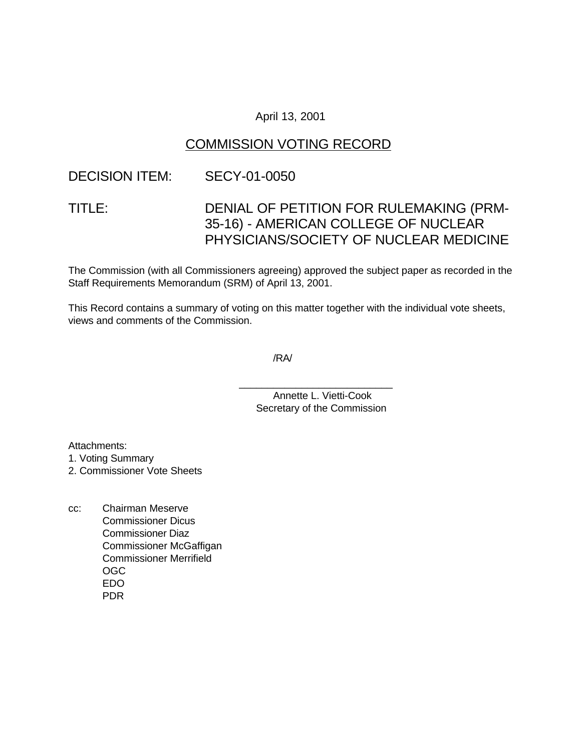### April 13, 2001

## COMMISSION VOTING RECORD

### DECISION ITEM: SECY-01-0050

# TITLE: DENIAL OF PETITION FOR RULEMAKING (PRM-35-16) - AMERICAN COLLEGE OF NUCLEAR PHYSICIANS/SOCIETY OF NUCLEAR MEDICINE

The Commission (with all Commissioners agreeing) approved the subject paper as recorded in the Staff Requirements Memorandum (SRM) of April 13, 2001.

This Record contains a summary of voting on this matter together with the individual vote sheets, views and comments of the Commission.

/RA/

Annette L. Vietti-Cook Secretary of the Commission

\_\_\_\_\_\_\_\_\_\_\_\_\_\_\_\_\_\_\_\_\_\_\_\_\_\_\_

Attachments:

1. Voting Summary

2. Commissioner Vote Sheets

cc: Chairman Meserve Commissioner Dicus Commissioner Diaz Commissioner McGaffigan Commissioner Merrifield OGC EDO PDR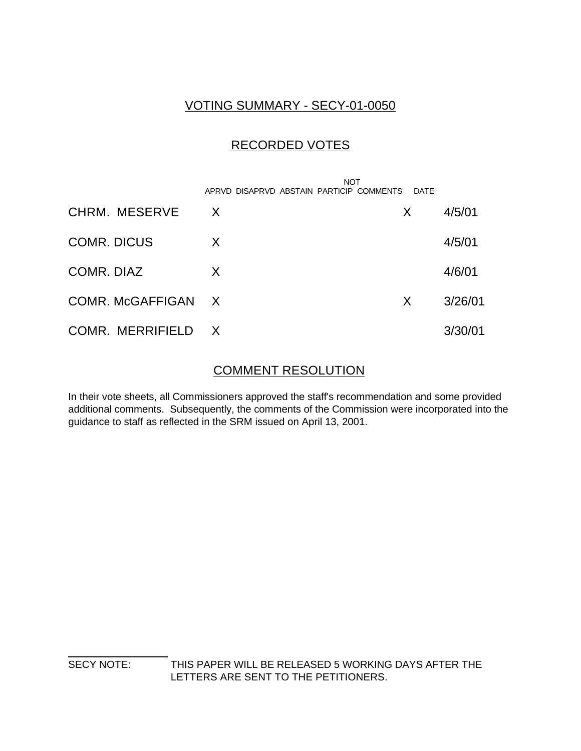## VOTING SUMMARY - SECY-01-0050

## RECORDED VOTES

|                      | <b>NOT</b><br>APRVD DISAPRVD ABSTAIN PARTICIP COMMENTS | DATE |         |
|----------------------|--------------------------------------------------------|------|---------|
| <b>CHRM. MESERVE</b> | $\mathsf{X}$                                           | X.   | 4/5/01  |
| <b>COMR. DICUS</b>   | X                                                      |      | 4/5/01  |
| COMR. DIAZ           | X                                                      |      | 4/6/01  |
| COMR. McGAFFIGAN X   |                                                        | X    | 3/26/01 |
| COMR. MERRIFIELD     | $\mathsf{X}$                                           |      | 3/30/01 |

### COMMENT RESOLUTION

In their vote sheets, all Commissioners approved the staff's recommendation and some provided additional comments. Subsequently, the comments of the Commission were incorporated into the guidance to staff as reflected in the SRM issued on April 13, 2001.

 $\overline{a}$